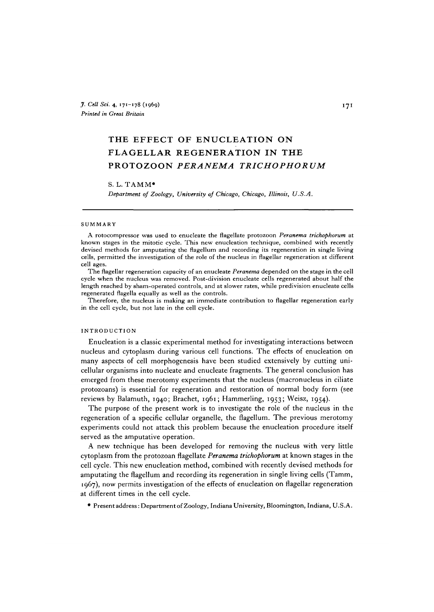# THE EFFECT OF ENUCLEATION ON FLAGELLAR REGENERATION IN THE PROTOZOON *PERANEMA TRICHOPHORUM*

# S. L. TAMM\*

*Department of Zoology, University of Chicago, Chicago, Illinois, U.S.A.*

#### SUMMARY

A rotocompressor was used to enucleate the flagellate protozoon *Peranema trichophorum* at known stages in the mitotic cycle. This new enucleation technique, combined with recently devised methods for amputating the flagellum and recording its regeneration in single living cells, permitted the investigation of the role of the nucleus in flagellar regeneration at different cell ages.

The flagellar regeneration capacity of an enucleate *Peranema* depended on the stage in the cell cycle when the nucleus was removed. Post-division enucleate cells regenerated about half the length reached by sham-operated controls, and at slower rates, while predivision enucleate cells regenerated flagella equally as well as the controls.

Therefore, the nucleus is making an immediate contribution to flagellar regeneration early in the cell cycle, but not late in the cell cycle.

# INTRODUCTION

Enucleation is a classic experimental method for investigating interactions between nucleus and cytoplasm during various cell functions. The effects of enucleation on many aspects of cell morphogenesis have been studied extensively by cutting unicellular organisms into nucleate and enucleate fragments. The general conclusion has emerged from these merotomy experiments that the nucleus (macronucleus in ciliate protozoans) is essential for regeneration and restoration of normal body form (see reviews by Balamuth, 1940; Brachet, 1961; Hammerling, 1953; Weisz, 1954).

The purpose of the present work is to investigate the role of the nucleus in the regeneration of a specific cellular organelle, the flagellum. The previous merotomy experiments could not attack this problem because the enucleation procedure itself served as the amputative operation.

A new technique has been developed for removing the nucleus with very little cytoplasm from the protozoan flagellate *Peranema trichophorum* at known stages in the cell cycle. This new enucleation method, combined with recently devised methods for amputating the flagellum and recording its regeneration in single living cells (Tamm, 1967), now permits investigation of the effects of enucleation on flagellar regeneration at different times in the cell cycle.

• Present address: Department of Zoology, Indiana University, Bloomington, Indiana, U.S.A.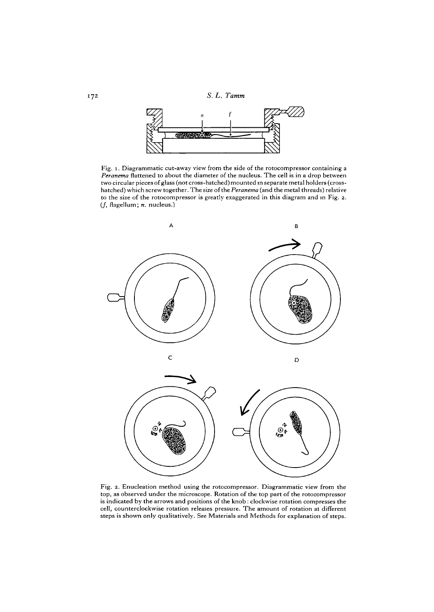172 *S. L. Tamm*



Fig. i. Diagrammatic cut-away view from the side of the rotocompressor containing a *Peranema* flattened to about the diameter of the nucleus. The cell is in a drop between two circular pieces of glass (not cross-hatched) mounted in separate metal holders (crosshatched) which screw together. The size of the *Peranema* (and the metal threads) relative to the size of the rotocompressor is greatly exaggerated in this diagram and in Fig. 2. (/, flagellum; *n.* nucleus.)





Fig. 2. Enucleation method using the rotocompressor. Diagrammatic view from the top, as observed under the microscope. Rotation of the top part of the rotocompressor is indicated by the arrows and positions of the knob: clockwise rotation compresses the cell, counterclockwise rotation releases pressure. The amount of rotation at different steps is shown only qualitatively. See Materials and Methods for explanation of steps.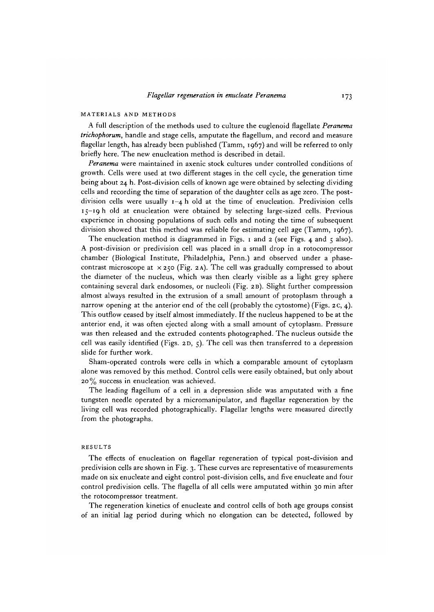# MATERIALS AND METHODS

A full description of the methods used to culture the euglenoid flagellate *Peranema trichophorum,* handle and stage cells, amputate the flagellum, and record and measure flagellar length, has already been published (Tamm, 1967) and will be referred to only briefly here. The new enucleation method is described in detail.

*Peranema* were maintained in axenic stock cultures under controlled conditions of growth. Cells were used at two different stages in the cell cycle, the generation time being about 24 h. Post-division cells of known age were obtained by selecting dividing cells and recording the time of separation of the daughter cells as age zero. The postdivision cells were usually  $1-4$  h old at the time of enucleation. Predivision cells 15-19 h old at enucleation were obtained by selecting large-sized cells. Previous experience in choosing populations of such cells and noting the time of subsequent division showed that this method was reliable for estimating cell age (Tamm, 1967).

The enucleation method is diagrammed in Figs. 1 and 2 (see Figs. 4 and  $\zeta$  also). A post-division or predivision cell was placed in a small drop in a rotocompressor chamber (Biological Institute, Philadelphia, Penn.) and observed under a phasecontrast microscope at  $\times$  250 (Fig. 2A). The cell was gradually compressed to about the diameter of the nucleus, which was then clearly visible as a light grey sphere containing several dark endosomes, or nucleoli (Fig. 2B). Slight further compression almost always resulted in the extrusion of a small amount of protoplasm through a narrow opening at the anterior end of the cell (probably the cytostome) (Figs. 2 c, 4). This outflow ceased by itself almost immediately. If the nucleus happened to be at the anterior end, it was often ejected along with a small amount of cytoplasm. Pressure was then released and the extruded contents photographed. The nucleus outside the cell was easily identified (Figs. 2D, 5). The cell was then transferred to a depression slide for further work.

Sham-operated controls were cells in which a comparable amount of cytoplasm alone was removed by this method. Control cells were easily obtained, but only about  $20\%$  success in enucleation was achieved.

The leading flagellum of a cell in a depression slide was amputated with a fine tungsten needle operated by a micromanipulator, and flagellar regeneration by the living cell was recorded photographically. Flagellar lengths were measured directly from the photographs.

### RESULTS

The effects of enucleation on flagellar regeneration of typical post-division and predivision cells are shown in Fig. 3. These curves are representative of measurements made on six enucleate and eight control post-division cells, and five enucleate and four control predivision cells. The flagella of all cells were amputated within 30 min after the rotocompressor treatment.

The regeneration kinetics of enucleate and control cells of both age groups consist of an initial lag period during which no elongation can be detected, followed by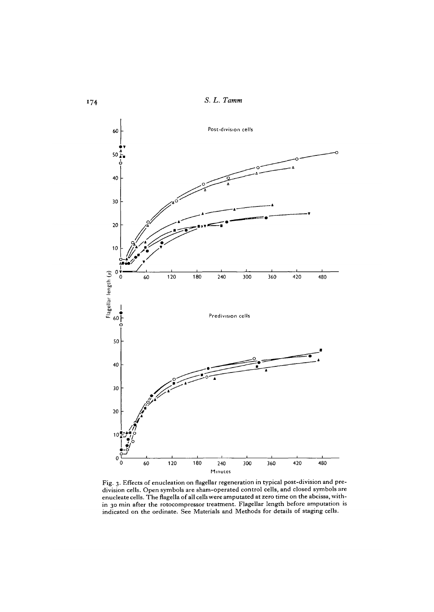*S. L. Tamm*



Fig. 3. Effects of enucleation on flagellar regeneration in typical post-division and pre-<br>division cells. Open symbols are sham-operated control cells, and closed symbols are enucleate cells. The flagella of all cells were amputated at zero time on the abcissa, with- in 30 min after the rotocompressor treatment. Flagellar length before amputation is indicated on the ordinate. See Materials and Methods for details of staging cells.

 $174$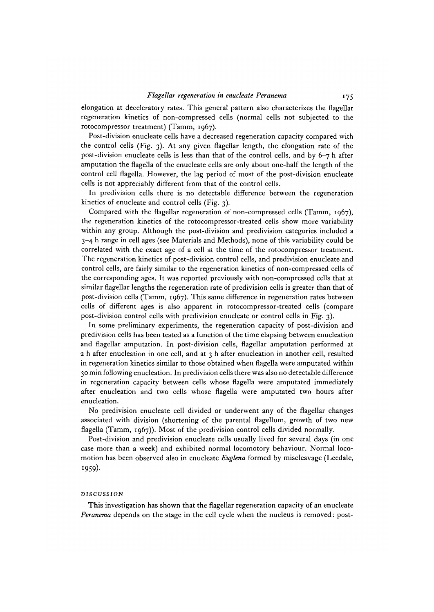elongation at deceleratory rates. This general pattern also characterizes the flagellar regeneration kinetics of non-compressed cells (normal cells not subjected to the rotocompressor treatment) (Tamm, 1967).

Post-division enucleate cells have a decreased regeneration capacity compared with the control cells (Fig. 3). At any given flagellar length, the elongation rate of the post-division enucleate cells is less than that of the control cells, and by 6-7 h after amputation the flagella of the enucleate cells are only about one-half the length of the control cell flagella. However, the lag period of most of the post-division enucleate cells is not appreciably different from that of the control cells.

In predivision cells there is no detectable difference between the regeneration kinetics of enucleate and control cells (Fig. 3).

Compared with the flagellar regeneration of non-compressed cells (Tamm, 1967), the regeneration kinetics of the rotocompressor-treated cells show more variability within any group. Although the post-division and predivision categories included a 3-4 h range in cell ages (see Materials and Methods), none of this variability could be correlated with the exact age of a cell at the time of the rotocompressor treatment. The regeneration kinetics of post-division control cells, and predivision enucleate and control cells, are fairly similar to the regeneration kinetics of non-compressed cells of the corresponding ages. It was reported previously with non-compressed cells that at similar flagellar lengths the regeneration rate of predivision cells is greater than that of post-division cells (Tamm, 1967). This same difference in regeneration rates between cells of different ages is also apparent in rotocompressor-treated cells (compare post-division control cells with predivision enucleate or control cells in Fig. 3).

In some preliminary experiments, the regeneration capacity of post-division and predivision cells has been tested as a function of the time elapsing between enucleation and flagellar amputation. In post-division cells, flagellar amputation performed at 2 h after enucleation in one cell, and at 3 h after enucleation in another cell, resulted in regeneration kinetics similar to those obtained when flagella were amputated within 30 min following enucleation. In predivision cells there was also no detectable difference in regeneration capacity between cells whose flagella were amputated immediately after enucleation and two cells whose flagella were amputated two hours after enucleation.

No predivision enucleate cell divided or underwent any of the flagellar changes associated with division (shortening of the parental flagellum, growth of two new flagella (Tamm, 1967)). Most of the predivision control cells divided normally.

Post-division and predivision enucleate cells usually lived for several days (in one case more than a week) and exhibited normal locomotory behaviour. Normal locomotion has been observed also in enucleate *Euglena* formed by miscleavage (Leedale, 1959)-

### DISCUSSION

This investigation has shown that the flagellar regeneration capacity of an enucleate *Peranema* depends on the stage in the cell cycle when the nucleus is removed: post-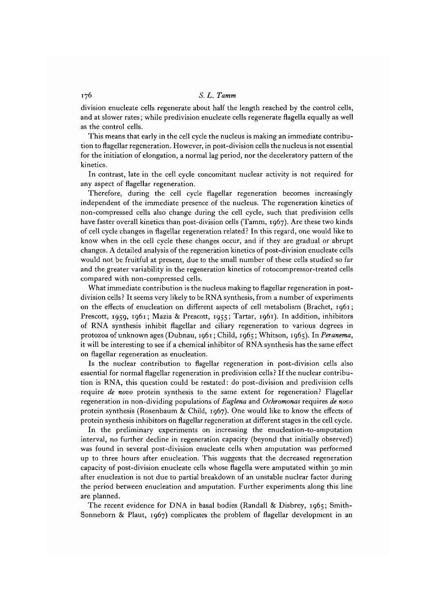# 176 *S. L. Tamm*

division enucleate cells regenerate about half the length reached by the control cells, and at slower rates; while predivision enucleate cells regenerate flagella equally as well as the control cells.

This means that early in the cell cycle the nucleus is making an immediate contribution to flagellar regeneration. However, in post-division cells the nucleus is not essential for the initiation of elongation, a normal lag period, nor the deceleratory pattern of the kinetics.

In contrast, late in the cell cycle concomitant nuclear activity is not required for any aspect of flagellar regeneration.

Therefore, during the cell cycle flagellar regeneration becomes increasingly independent of the immediate presence of the nucleus. The regeneration kinetics of non-compressed cells also change during the cell cycle, such that predivision cells have faster overall kinetics than post-division cells (Tamm, 1967). Are these two kinds of cell cycle changes in flagellar regeneration related? In this regard, one would like to know when in the cell cycle these changes occur, and if they are gradual or abrupt changes. A detailed analysis of the regeneration kinetics of post-division enucleate cells would not be fruitful at present, due to the small number of these cells studied so far and the greater variability in the regeneration kinetics of rotocompressor-treated cells compared with non-compressed cells.

What immediate contribution is the nucleus making to flagellar regeneration in postdivision cells ? It seems very likely to be RNA synthesis, from a number of experiments on the effects of enucleation on different aspects of cell metabolism (Brachet, 1961; Prescott, 1959, 1961; Mazia & Prescott, 1955; Tartar, 1961). In addition, inhibitors of RNA synthesis inhibit flagellar and ciliary regeneration to various degrees in protozoa of unknown ages (Dubnau, 1961; Child, 1965; Whitson, 1965). In *Peranema,* it will be interesting to see if a chemical inhibitor of RNA synthesis has the same effect on flagellar regeneration as enucleation.

Is the nuclear contribution to flagellar regeneration in post-division cells also essential for normal flagellar regeneration in predivision cells? If the nuclear contribution is RNA, this question could be restated: do post-division and predivision cells require *de novo* protein synthesis to the same extent for regeneration? Flagellar regeneration in non-dividing populations of *Euglena* and *Ochromonas* requires *de novo* protein synthesis (Rosenbaum & Child, 1967). One would like to know the effects of protein synthesis inhibitors on flagellar regeneration at different stages in the cell cycle.

In the preliminary experiments on increasing the enucleation-to-amputation interval, no further decline in regeneration capacity (beyond that initially observed) was found in several post-division enucleate cells when amputation was performed up to three hours after enucleation. This suggests that the decreased regeneration capacity of post-division enucleate cells whose flagella were amputated within 30 min after enucleation is not due to partial breakdown of an unstable nuclear factor during the period between enucleation and amputation. Further experiments along this line are planned.

The recent evidence for DNA in basal bodies (Randall & Disbrey, 1965; Smith-Sonneborn & Plaut, 1967) complicates the problem of flagellar development in an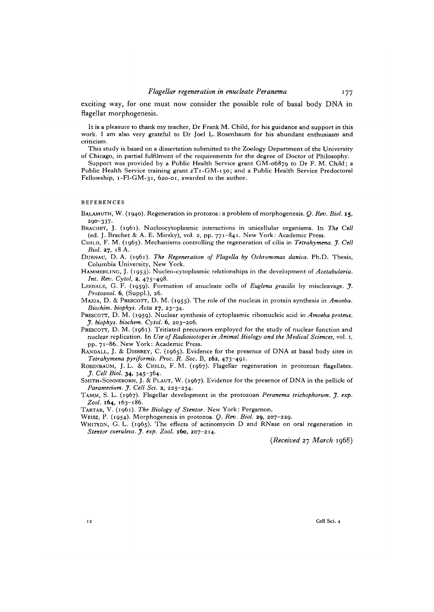exciting way, for one must now consider the possible role of basal body DNA in flagellar morphogenesis.

It is a pleasure to thank my teacher, Dr Frank M. Child, for his guidance and support in this work. I am also very grateful to Dr Joel L. Rosenbaum for his abundant enthusiasm and criticism.

This study is based on a dissertation submitted to the Zoology Department of the University of Chicago, in partial fulfilment of the requirements for the degree of Doctor of Philosophy.

Support was provided by a Public Health Service grant GM-06879 to Dr F. M. Child; a Public Health Service training grant 2T1-GM-150; and a Public Health Service Predoctoral Fellowship, i-Fl-GM-31, 620-01, awarded to the author.

# **REFERENCES**

BALAMUTH, W. (1940). Regeneration in protozoa: a problem of morphogenesis. *Q. Rev. Biol.* 15, 2OO-337-

BRACHET, J. (1961). Nucleocytoplasmic interactions in unicellular organisms. In *The Cell* (ed. J. Brachet & A. E. Mirsky), vol. 2, pp. 771-841. New York: Academic Press.

CHILD, F. M. (1965). Mechanisms controlling the regeneration of cilia in *Tetrahymena. J. Cell Biol.* 27, 18 A.

DUBNAU, D. A. (1961). *The Regeneration of Flagella by Ochromonas danica.* Ph.D. Thesis, Columbia University, New York.

HAMMERLING, J. (1953). Nucleo-cytoplasmic relationships in the development of *Acetabularia. Int. Rev. Cytol, 2,* 475-498.

LEEDALE, G. F. (1959). Formation of anucleate cells of *Euglena gracilis* by miscleavage. *J. Protozool.* 6, (Suppl.), 26.

MAZIA, D. & PRESCOTT, D. M. (1955). The role of the nucleus in protein synthesis in *Amoeba. Biochim. biophys. Acta* 17, 23-34.

PRESCOTT, D. M. (1959). Nuclear synthesis of cytoplasmic ribonucleic acid in *Amoeba proteus. J. biophys. biochem. Cytol.* 6, 203-206.

- PRESCOTT, D. M. (1961). Tritiated precursors employed for the study of nuclear function and nuclear replication. In *Use of Radioisotopes in Animal Biology and the Medical Sciences,* vol. 1, pp. 71—86. New York: Academic Press.
- RANDALL, J. & DISBREY, C. (1965). Evidence for the presence of DNA at basal body sites in *Tetrahymena pyriformis. Proc. R. Soc.* B, **162,** 473-491.

ROSENBAUM, J. L. & CHILD, F. M. (1967). Flagellar regeneration in protozoan flagellates. *J. Cell Biol.* 34, 345-364-

SMITH-SONNEBORN, J. & PLAUT, W. (1967). Evidence for the presence of DNA in the pellicle of *Paramecium. J. Cell Sci. 2,* 225-234.

TAMM, S. L. (1967). Flagellar development in the protozoan *Peranema trichophorum. J. exp. Zool.* **164,** 163-186.

TARTAR, V. (1961). *The Biology of Stentor.* New York: Pergamon.

WEISZ, P. (1954). Morphogenesis in protozoa. *Q. Rev. Biol.* 29, 207-229.

WHITSON, G. L. (1965). The effects of actinomycin D and RNase on oral regeneration in *Stentor coeruleiis. J. exp. Zool.* **160,** 207-214.

*{Received* 27 *March* 1968)